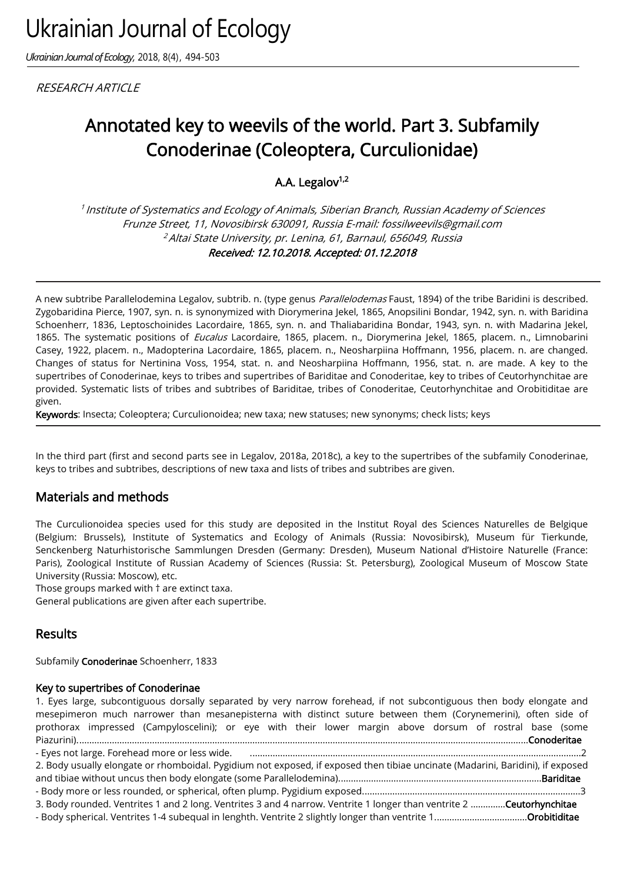*Ukrainian Journal of Ecology,* 2018, 8(4), 494-503

**RESEARCH ARTICLE** 

# Annotated key to weevils of the world. Part 3. Subfamily Conoderinae (Coleoptera, Curculionidae)

A.A. Legalov $1,2$ 

<sup>1</sup> Institute of Systematics and Ecology of Animals, Siberian Branch, Russian Academy of Sciences Frunze Street, 11, Novosibirsk 630091, Russia E-mail: fossilweevils@gmail.com <sup>2</sup> Altai State University, pr. Lenina, 61, Barnaul, 656049, Russia Received: 12.10.2018. Accepted: 01.12.2018

A new subtribe Parallelodemina Legalov, subtrib. n. (type genus Parallelodemas Faust, 1894) of the tribe Baridini is described. Zygobaridina Pierce, 1907, syn. n. is synonymized with Diorymerina Jekel, 1865, Anopsilini Bondar, 1942, syn. n. with Baridina Schoenherr, 1836, Leptoschoinides Lacordaire, 1865, syn. n. and Thaliabaridina Bondar, 1943, syn. n. with Madarina Jekel, 1865. The systematic positions of Eucalus Lacordaire, 1865, placem. n., Diorymerina Jekel, 1865, placem. n., Limnobarini Casey, 1922, placem. n., Madopterina Lacordaire, 1865, placem. n., Neosharpiina Hoffmann, 1956, placem. n. are changed. Changes of status for Nertinina Voss, 1954, stat. n. and Neosharpiina Hoffmann, 1956, stat. n. are made. A key to the supertribes of Conoderinae, keys to tribes and supertribes of Bariditae and Conoderitae, key to tribes of Ceutorhynchitae are provided. Systematic lists of tribes and subtribes of Bariditae, tribes of Conoderitae, Ceutorhynchitae and Orobitiditae are given.

Keywords: Insecta; Coleoptera; Curculionoidea; new taxa; new statuses; new synonyms; check lists; keys

In the third part (first and second parts see in Legalov, 2018a, 2018c), a key to the supertribes of the subfamily Conoderinae, keys to tribes and subtribes, descriptions of new taxa and lists of tribes and subtribes are given.

# Materials and methods

The Curculionoidea species used for this study are deposited in the Institut Royal des Sciences Naturelles de Belgique (Belgium: Brussels), Institute of Systematics and Ecology of Animals (Russia: Novosibirsk), Museum für Tierkunde, Senckenberg Naturhistorische Sammlungen Dresden (Germany: Dresden), Museum National d'Histoire Naturelle (France: Paris), Zoological Institute of Russian Academy of Sciences (Russia: St. Petersburg), Zoological Museum of Moscow State University (Russia: Moscow), etc.

Those groups marked with † are extinct taxa.

General publications are given after each supertribe.

# Results

Subfamily Conoderinae Schoenherr, 1833

### Key to supertribes of Conoderinae

1. Eyes large, subcontiguous dorsally separated by very narrow forehead, if not subcontiguous then body elongate and mesepimeron much narrower than mesanepisterna with distinct suture between them (Corynemerini), often side of prothorax impressed (Campyloscelini); or eye with their lower margin above dorsum of rostral base (some Piazurini)....................................................................................................................................................................................Conoderitae - Eyes not large. Forehead more or less wide. ....................................................................................................................................2 2. Body usually elongate or rhomboidal. Pygidium not exposed, if exposed then tibiae uncinate (Madarini, Baridini), if exposed and tibiae without uncus then body elongate (some Parallelodemina).................................................................................Bariditae - Body more or less rounded, or spherical, often plump. Pygidium exposed.......................................................................................3 3. Body rounded. Ventrites 1 and 2 long. Ventrites 3 and 4 narrow. Ventrite 1 longer than ventrite 2 ..............Ceutorhynchitae - Body spherical. Ventrites 1-4 subequal in lenghth. Ventrite 2 slightly longer than ventrite 1.....................................Orobitiditae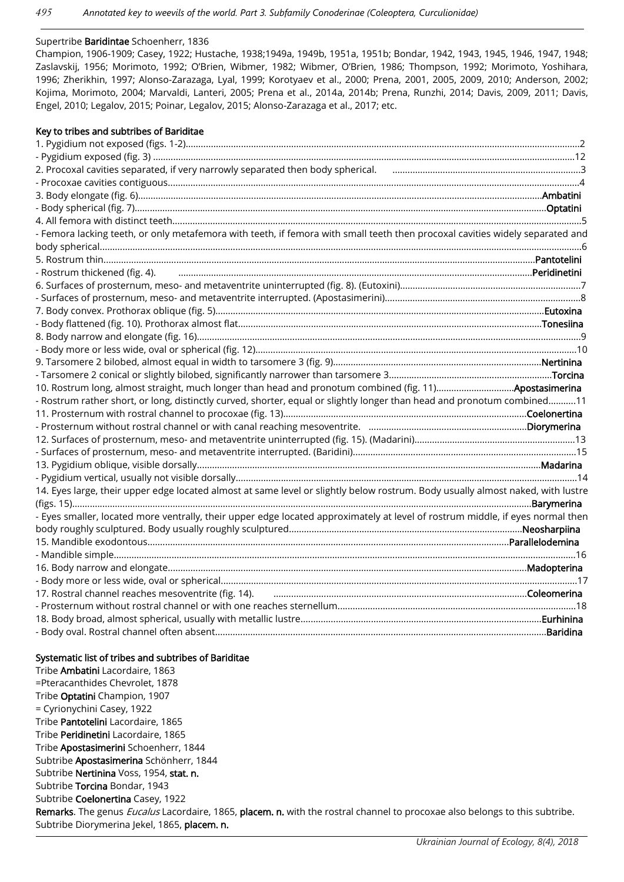#### Supertribe Baridintae Schoenherr, 1836

Champion, 1906-1909; Casey, 1922; Hustache, 1938;1949a, 1949b, 1951a, 1951b; Bondar, 1942, 1943, 1945, 1946, 1947, 1948; Zaslavskij, 1956; Morimoto, 1992; O'Brien, Wibmer, 1982; Wibmer, O'Brien, 1986; Thompson, 1992; Morimoto, Yoshihara, 1996; Zherikhin, 1997; Alonso-Zarazaga, Lyal, 1999; Korotyaev et al., 2000; Prena, 2001, 2005, 2009, 2010; Anderson, 2002; Kojima, Morimoto, 2004; Marvaldi, Lanteri, 2005; Prena et al., 2014a, 2014b; Prena, Runzhi, 2014; Davis, 2009, 2011; Davis, Engel, 2010; Legalov, 2015; Poinar, Legalov, 2015; Alonso-Zarazaga et al., 2017; etc.

#### Key to tribes and subtribes of Bariditae 1. Pygidium not exposed (figs. 1-2).............................................................................................................................................................2 - Pygidium exposed (fig. 3) ........................................................................................................................................................................12 2. Procoxal cavities separated, if very narrowly separated then body spherical. ...........................................................................3 - Procoxae cavities contiguous....................................................................................................................................................................4 3. Body elongate (fig. 6).................................................................................................................................................................Ambatini - Body spherical (fig. 7)....................................................................................................................................................................Optatini 4. All femora with distinct teeth...................................................................................................................................................................5 - Femora lacking teeth, or only metafemora with teeth, if femora with small teeth then procoxal cavities widely separated and body spherical................................................................................................................................................................................................6 5. Rostrum thin............................................................................................................................................................................Pantotelini - Rostrum thickened (fig. 4). .............................................................................................................................................Peridinetini 6. Surfaces of prosternum, meso- and metaventrite uninterrupted (fig. 8). (Eutoxini)........................................................................7 - Surfaces of prosternum, meso- and metaventrite interrupted. (Apostasimerini)..............................................................................8 7. Body convex. Prothorax oblique (fig. 5)...................................................................................................................................Eutoxina - Body flattened (fig. 10). Prothorax almost flat.........................................................................................................................Tonesiina 8. Body narrow and elongate (fig. 16).........................................................................................................................................................9 - Body more or less wide, oval or spherical (fig. 12)................................................................................................................................10 9. Tarsomere 2 bilobed, almost equal in width to tarsomere 3 (fig. 9)...................................................................................Nertinina - Tarsomere 2 conical or slightly bilobed, significantly narrower than tarsomere 3.................................................................Torcina 10. Rostrum long, almost straight, much longer than head and pronotum combined (fig. 11)...............................Apostasimerina - Rostrum rather short, or long, distinctly curved, shorter, equal or slightly longer than head and pronotum combined…….....11 11. Prosternum with rostral channel to procoxae (fig. 13).................................................................................................Coelonertina - Prosternum without rostral channel or with canal reaching mesoventrite. ...............................................................Diorymerina 12. Surfaces of prosternum, meso- and metaventrite uninterrupted (fig. 15). (Madarini)................................................................13 - Surfaces of prosternum, meso- and metaventrite interrupted. (Baridini).........................................................................................15 13. Pygidium oblique, visible dorsally.........................................................................................................................................Madarina - Pygidium vertical, usually not visible dorsally........................................................................................................................................14 14. Eyes large, their upper edge located almost at same level or slightly below rostrum. Body usually almost naked, with lustre (figs. 15).......................................................................................................................................................................................Barymerina - Eyes smaller, located more ventrally, their upper edge located approximately at level of rostrum middle, if eyes normal then body roughly sculptured. Body usually roughly sculptured.............................................................................................Neosharpiina 15. Mandible exodontous................................................................................................................................................Parallelodemina - Mandible simple........................................................................................................................................................................................16 16. Body narrow and elongate...............................................................................................................................................Madopterina - Body more or less wide, oval or spherical..............................................................................................................................................17 17. Rostral channel reaches mesoventrite (fig. 14). .....................................................................................................Coleomerina - Prosternum without rostral channel or with one reaches sternellum...............................................................................................18 18. Body broad, almost spherical, usually with metallic lustre................................................................................................Eurhinina - Body oval. Rostral channel often absent....................................................................................................................................Baridina

#### Systematic list of tribes and subtribes of Bariditae

Tribe Ambatini Lacordaire, 1863 =Pteracanthides Chevrolet, 1878 Tribe Optatini Champion, 1907 = Cyrionychini Casey, 1922 Tribe Pantotelini Lacordaire, 1865 Tribe Peridinetini Lacordaire, 1865 Tribe Apostasimerini Schoenherr, 1844 Subtribe Apostasimerina Schönherr, 1844 Subtribe Nertinina Voss, 1954, stat. n. Subtribe Torcina Bondar, 1943 Subtribe Coelonertina Casey, 1922 Remarks. The genus *Eucalus* Lacordaire, 1865, placem. n. with the rostral channel to procoxae also belongs to this subtribe. Subtribe Diorymerina Jekel, 1865, placem. n.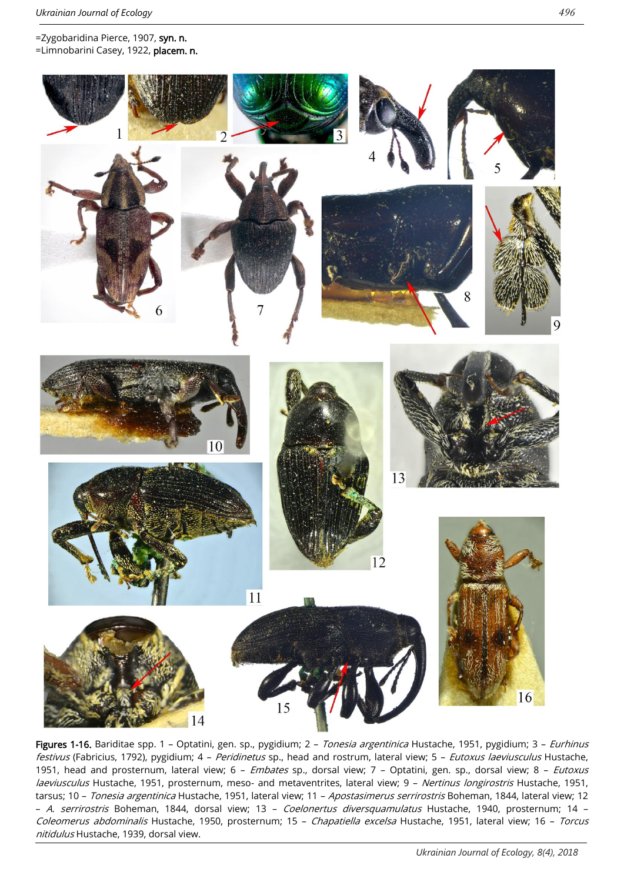

**Figures 1-16.** Bariditae spp. 1 – Optatini, gen. sp., pygidium; 2 – *Tonesia argentinica* Hustache, 1951, pygidium; 3 – *Eurhinus* festivus (Fabricius, 1792), pygidium; 4 - Peridinetus sp., head and rostrum, lateral view; 5 - Eutoxus laeviusculus Hustache, 1951, head and prosternum, lateral view; 6 - Embates sp., dorsal view; 7 - Optatini, gen. sp., dorsal view; 8 - Eutoxus laeviusculus Hustache, 1951, prosternum, meso- and metaventrites, lateral view; 9 - Nertinus longirostris Hustache, 1951, tarsus; 10 - Tonesia argentinica Hustache, 1951, lateral view; 11 - Apostasimerus serrirostris Boheman, 1844, lateral view; 12 – <sup>A</sup>. serrirostris Boheman, 1844, dorsal view; 13 – Coelonertus diversquamulatus Hustache, 1940, prosternum; 14 – Coleomerus abdominalis Hustache, 1950, prosternum; 15 – Chapatiella excelsa Hustache, 1951, lateral view; 16 – Torcus nitidulus Hustache, 1939, dorsal view.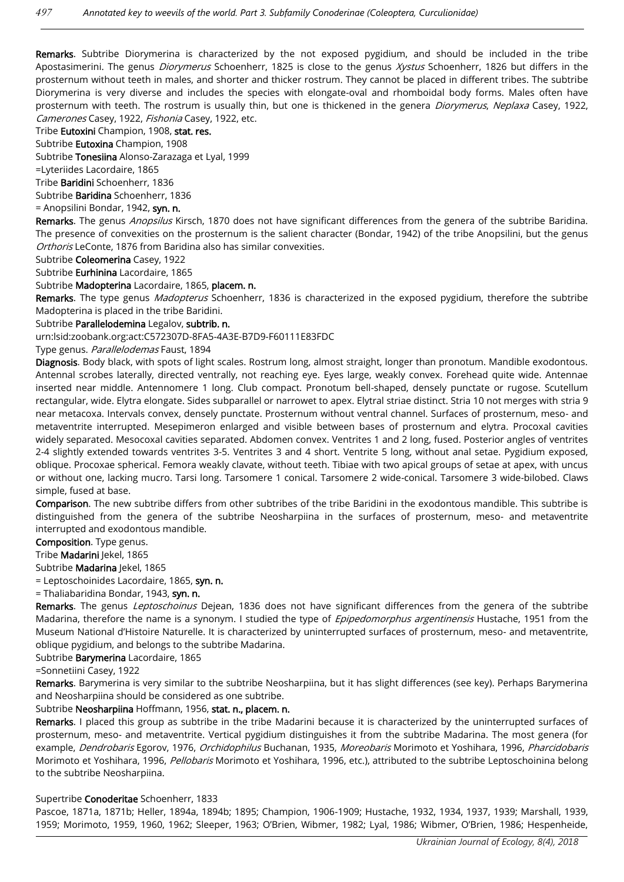Remarks. Subtribe Diorymerina is characterized by the not exposed pygidium, and should be included in the tribe Apostasimerini. The genus *Diorymerus* Schoenherr, 1825 is close to the genus Xystus Schoenherr, 1826 but differs in the prosternum without teeth in males, and shorter and thicker rostrum. They cannot be placed in different tribes. The subtribe Diorymerina is very diverse and includes the species with elongate-oval and rhomboidal body forms. Males often have prosternum with teeth. The rostrum is usually thin, but one is thickened in the genera *Diorymerus*, Neplaxa Casey, 1922, Camerones Casey, 1922, Fishonia Casey, 1922, etc.

Tribe Eutoxini Champion, 1908, stat. res.

Subtribe Eutoxina Champion, 1908

Subtribe Tonesiina Alonso-Zarazaga et Lyal, 1999

=Lyteriides Lacordaire, 1865

Tribe Baridini Schoenherr, 1836

Subtribe Baridina Schoenherr, 1836

= Anopsilini Bondar, 1942, syn. n.

Remarks. The genus Anopsilus Kirsch, 1870 does not have significant differences from the genera of the subtribe Baridina. The presence of convexities on the prosternum is the salient character (Bondar, 1942) of the tribe Anopsilini, but the genus Orthoris LeConte, 1876 from Baridina also has similar convexities.

Subtribe Coleomerina Casey, 1922

Subtribe Eurhinina Lacordaire, 1865

Subtribe Madopterina Lacordaire, 1865, placem. n.

Remarks. The type genus Madopterus Schoenherr, 1836 is characterized in the exposed pygidium, therefore the subtribe Madopterina is placed in the tribe Baridini.

Subtribe Parallelodemina Legalov, subtrib. n.

urn:lsid:zoobank.org:act:C572307D-8FA5-4A3E-B7D9-F60111E83FDC

Type genus. Parallelodemas Faust, 1894

Diagnosis. Body black, with spots of light scales. Rostrum long, almost straight, longer than pronotum. Mandible exodontous. Antennal scrobes laterally, directed ventrally, not reaching eye. Eyes large, weakly convex. Forehead quite wide. Antennae inserted near middle. Antennomere 1 long. Club compact. Pronotum bell-shaped, densely punctate or rugose. Scutellum rectangular, wide. Elytra elongate. Sides subparallel or narrowet to apex. Elytral striae distinct. Stria 10 not merges with stria 9 near metacoxa. Intervals convex, densely punctate. Prosternum without ventral channel. Surfaces of prosternum, meso- and metaventrite interrupted. Mesepimeron enlarged and visible between bases of prosternum and elytra. Procoxal cavities widely separated. Mesocoxal cavities separated. Abdomen convex. Ventrites 1 and 2 long, fused. Posterior angles of ventrites 2-4 slightly extended towards ventrites 3-5. Ventrites 3 and 4 short. Ventrite 5 long, without anal setae. Pygidium exposed, oblique. Procoxae spherical. Femora weakly clavate, without teeth. Tibiae with two apical groups of setae at apex, with uncus or without one, lacking mucro. Tarsi long. Tarsomere 1 conical. Tarsomere 2 wide-conical. Tarsomere 3 wide-bilobed. Claws simple, fused at base.

Comparison. The new subtribe differs from other subtribes of the tribe Baridini in the exodontous mandible. This subtribe is distinguished from the genera of the subtribe Neosharpiina in the surfaces of prosternum, meso- and metaventrite interrupted and exodontous mandible.

Composition. Type genus.

Tribe Madarini Jekel, 1865

Subtribe Madarina Jekel, 1865

= Leptoschoinides Lacordaire, 1865, syn. n.

= Thaliabaridina Bondar, 1943, syn. n.

Remarks. The genus Leptoschoinus Dejean, 1836 does not have significant differences from the genera of the subtribe Madarina, therefore the name is a synonym. I studied the type of Epipedomorphus argentinensis Hustache, 1951 from the Museum National d'Histoire Naturelle. It is characterized by uninterrupted surfaces of prosternum, meso- and metaventrite, oblique pygidium, and belongs to the subtribe Madarina.

Subtribe Barymerina Lacordaire, 1865

=Sonnetiini Casey, 1922

Remarks. Barymerina is very similar to the subtribe Neosharpiina, but it has slight differences (see key). Perhaps Barymerina and Neosharpiina should be considered as one subtribe.

#### Subtribe Neosharpiina Hoffmann, 1956, stat. n., placem. n.

Remarks. I placed this group as subtribe in the tribe Madarini because it is characterized by the uninterrupted surfaces of prosternum, meso- and metaventrite. Vertical pygidium distinguishes it from the subtribe Madarina. The most genera (for example, Dendrobaris Egorov, 1976, Orchidophilus Buchanan, 1935, Moreobaris Morimoto et Yoshihara, 1996, Pharcidobaris Morimoto et Yoshihara, 1996, Pellobaris Morimoto et Yoshihara, 1996, etc.), attributed to the subtribe Leptoschoinina belong to the subtribe Neosharpiina.

#### Supertribe Conoderitae Schoenherr, 1833

Pascoe, 1871a, 1871b; Heller, 1894a, 1894b; 1895; Champion, 1906-1909; Hustache, 1932, 1934, 1937, 1939; Marshall, 1939, 1959; Morimoto, 1959, 1960, 1962; Sleeper, 1963; O'Brien, Wibmer, 1982; Lyal, 1986; Wibmer, O'Brien, 1986; Hespenheide,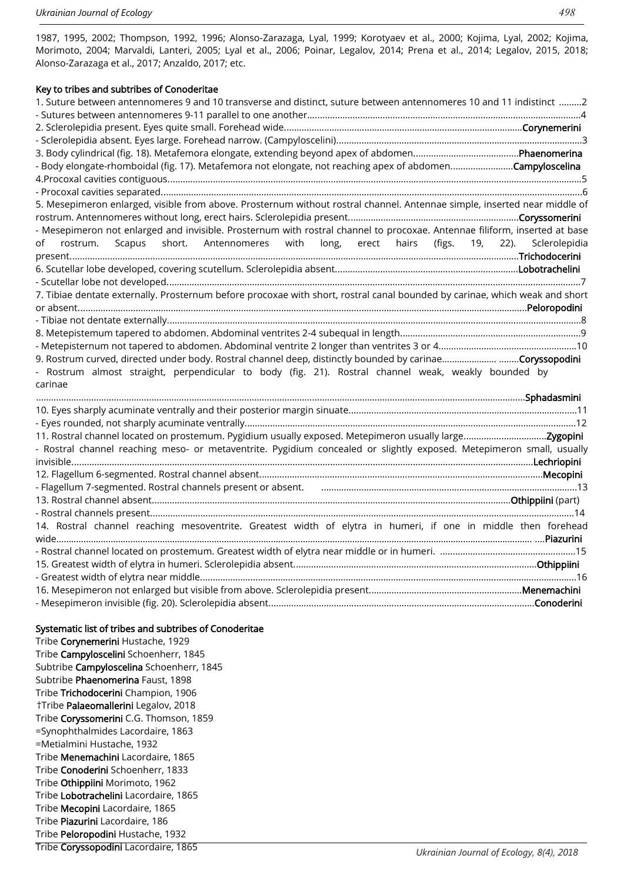1987, 1995, 2002; Thompson, 1992, 1996; Alonso-Zarazaga, Lyal, 1999; Korotyaev et al., 2000; Kojima, Lyal, 2002; Kojima, Morimoto, 2004; Marvaldi, Lanteri, 2005; Lyal et al., 2006; Poinar, Legalov, 2014; Prena et al., 2014; Legalov, 2015, 2018; Alonso-Zarazaga et al., 2017; Anzaldo, 2017; etc.

#### Key to tribes and subtribes of Conoderitae

| 1. Suture between antennomeres 9 and 10 transverse and distinct, suture between antennomeres 10 and 11 indistinct 2         |
|-----------------------------------------------------------------------------------------------------------------------------|
|                                                                                                                             |
|                                                                                                                             |
|                                                                                                                             |
|                                                                                                                             |
| - Body elongate-rhomboidal (fig. 17). Metafemora not elongate, not reaching apex of abdomenCampyloscelina                   |
|                                                                                                                             |
|                                                                                                                             |
| 5. Mesepimeron enlarged, visible from above. Prosternum without rostral channel. Antennae simple, inserted near middle of   |
|                                                                                                                             |
| - Mesepimeron not enlarged and invisible. Prosternum with rostral channel to procoxae. Antennae filiform, inserted at base  |
| rostrum. Scapus short. Antennomeres with long, erect hairs (figs. 19, 22). Sclerolepidia<br>of                              |
|                                                                                                                             |
|                                                                                                                             |
|                                                                                                                             |
| 7. Tibiae dentate externally. Prosternum before procoxae with short, rostral canal bounded by carinae, which weak and short |
|                                                                                                                             |
|                                                                                                                             |
|                                                                                                                             |
|                                                                                                                             |
| 9. Rostrum curved, directed under body. Rostral channel deep, distinctly bounded by carinaeCoryssopodini                    |
| - Rostrum almost straight, perpendicular to body (fig. 21). Rostral channel weak, weakly bounded by                         |
| carinae                                                                                                                     |
|                                                                                                                             |
|                                                                                                                             |
|                                                                                                                             |
|                                                                                                                             |
| - Rostral channel reaching meso- or metaventrite. Pygidium concealed or slightly exposed. Metepimeron small, usually        |
|                                                                                                                             |
|                                                                                                                             |
|                                                                                                                             |
|                                                                                                                             |
|                                                                                                                             |
| 14. Rostral channel reaching mesoventrite. Greatest width of elytra in humeri, if one in middle then forehead               |
|                                                                                                                             |
|                                                                                                                             |
|                                                                                                                             |
|                                                                                                                             |
|                                                                                                                             |
|                                                                                                                             |

#### Systematic list of tribes and subtribes of Conoderitae

Tribe Corynemerini Hustache, 1929 Tribe Campyloscelini Schoenherr, 1845 Subtribe Campyloscelina Schoenherr, 1845 Subtribe Phaenomerina Faust, 1898 Tribe Trichodocerini Champion, 1906 †Tribe Palaeomallerini Legalov, 2018 Tribe Coryssomerini C.G. Thomson, 1859 =Synophthalmides Lacordaire, 1863 =Metialmini Hustache, 1932 Tribe Menemachini Lacordaire, 1865 Tribe Conoderini Schoenherr, 1833 Tribe Othippiini Morimoto, 1962 Tribe Lobotrachelini Lacordaire, 1865 Tribe Mecopini Lacordaire, 1865 Tribe Piazurini Lacordaire, 186 Tribe Peloropodini Hustache, 1932 Tribe Coryssopodini Lacordaire, 1865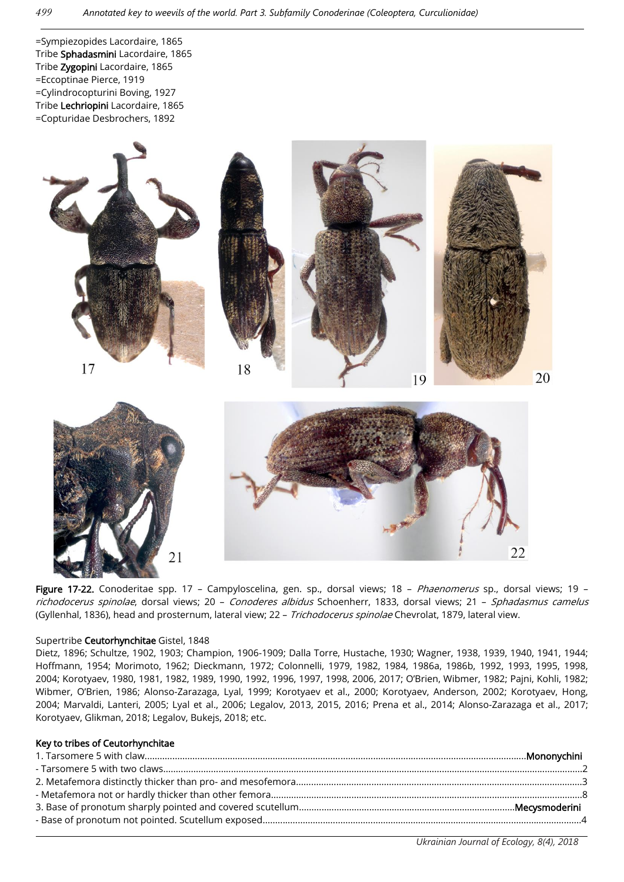=Sympiezopides Lacordaire, 1865 Tribe Sphadasmini Lacordaire, 1865 Tribe Zygopini Lacordaire, 1865 =Eccoptinae Pierce, 1919 =Cylindrocopturini Boving, 1927 Tribe Lechriopini Lacordaire, 1865 =Copturidae Desbrochers, 1892



Figure 17-22. Conoderitae spp. 17 - Campyloscelina, gen. sp., dorsal views; 18 - Phaenomerus sp., dorsal views; 19 richodocerus spinolae, dorsal views; 20 - Conoderes albidus Schoenherr, 1833, dorsal views; 21 - Sphadasmus camelus (Gyllenhal, 1836), head and prosternum, lateral view; 22 - Trichodocerus spinolae Chevrolat, 1879, lateral view.

#### Supertribe Ceutorhynchitae Gistel, 1848

Dietz, 1896; Schultze, 1902, 1903; Champion, 1906-1909; Dalla Torre, Hustache, 1930; Wagner, 1938, 1939, 1940, 1941, 1944; Hoffmann, 1954; Morimoto, 1962; Dieckmann, 1972; Colonnelli, 1979, 1982, 1984, 1986a, 1986b, 1992, 1993, 1995, 1998, 2004; Korotyaev, 1980, 1981, 1982, 1989, 1990, 1992, 1996, 1997, 1998, 2006, 2017; O'Brien, Wibmer, 1982; Pajni, Kohli, 1982; Wibmer, O'Brien, 1986; Alonso-Zarazaga, Lyal, 1999; Korotyaev et al., 2000; Korotyaev, Anderson, 2002; Korotyaev, Hong, 2004; Marvaldi, Lanteri, 2005; Lyal et al., 2006; Legalov, 2013, 2015, 2016; Prena et al., 2014; Alonso-Zarazaga et al., 2017; Korotyaev, Glikman, 2018; Legalov, Bukejs, 2018; etc.

#### Key to tribes of Ceutorhynchitae

*Ukrainian Journal of Ecology, 8(4), 2018*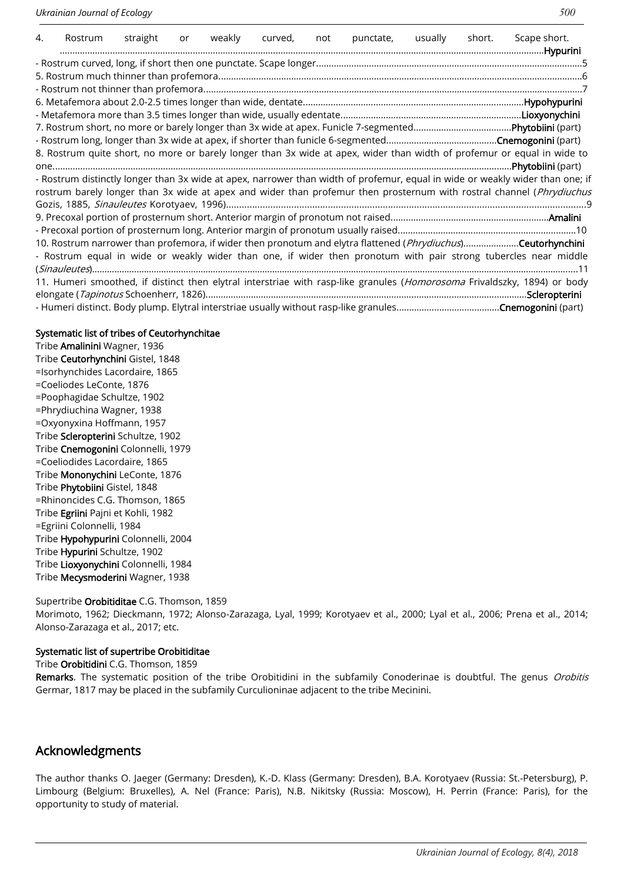| 4.                                                                                                                   | Rostrum | straight | <b>or</b> | weakly | curved, | not | punctate, | usually | short. | Scape short.                                                                                                                  |  |  |
|----------------------------------------------------------------------------------------------------------------------|---------|----------|-----------|--------|---------|-----|-----------|---------|--------|-------------------------------------------------------------------------------------------------------------------------------|--|--|
|                                                                                                                      |         |          |           |        |         |     |           |         |        |                                                                                                                               |  |  |
|                                                                                                                      |         |          |           |        |         |     |           |         |        |                                                                                                                               |  |  |
|                                                                                                                      |         |          |           |        |         |     |           |         |        |                                                                                                                               |  |  |
|                                                                                                                      |         |          |           |        |         |     |           |         |        |                                                                                                                               |  |  |
|                                                                                                                      |         |          |           |        |         |     |           |         |        |                                                                                                                               |  |  |
|                                                                                                                      |         |          |           |        |         |     |           |         |        |                                                                                                                               |  |  |
|                                                                                                                      |         |          |           |        |         |     |           |         |        |                                                                                                                               |  |  |
|                                                                                                                      |         |          |           |        |         |     |           |         |        | 8. Rostrum quite short, no more or barely longer than 3x wide at apex, wider than width of profemur or equal in wide to       |  |  |
|                                                                                                                      |         |          |           |        |         |     |           |         |        |                                                                                                                               |  |  |
|                                                                                                                      |         |          |           |        |         |     |           |         |        | - Rostrum distinctly longer than 3x wide at apex, narrower than width of profemur, equal in wide or weakly wider than one; if |  |  |
| rostrum barely longer than 3x wide at apex and wider than profemur then prosternum with rostral channel (Phrydiuchus |         |          |           |        |         |     |           |         |        |                                                                                                                               |  |  |
|                                                                                                                      |         |          |           |        |         |     |           |         |        |                                                                                                                               |  |  |
|                                                                                                                      |         |          |           |        |         |     |           |         |        |                                                                                                                               |  |  |
|                                                                                                                      |         |          |           |        |         |     |           |         |        |                                                                                                                               |  |  |
|                                                                                                                      |         |          |           |        |         |     |           |         |        | 10. Rostrum narrower than profemora, if wider then pronotum and elytra flattened (Phrydiuchus)Ceutorhynchini                  |  |  |
|                                                                                                                      |         |          |           |        |         |     |           |         |        | - Rostrum equal in wide or weakly wider than one, if wider then pronotum with pair strong tubercles near middle               |  |  |
|                                                                                                                      |         |          |           |        |         |     |           |         |        |                                                                                                                               |  |  |
|                                                                                                                      |         |          |           |        |         |     |           |         |        | 11. Humeri smoothed, if distinct then elytral interstriae with rasp-like granules (Homorosoma Frivaldszky, 1894) or body      |  |  |
|                                                                                                                      |         |          |           |        |         |     |           |         |        |                                                                                                                               |  |  |
|                                                                                                                      |         |          |           |        |         |     |           |         |        |                                                                                                                               |  |  |

## Systematic list of tribes of Ceutorhynchitae

Tribe Amalinini Wagner, 1936 Tribe Ceutorhynchini Gistel, 1848 =Isorhynchides Lacordaire, 1865 =Coeliodes LeConte, 1876 =Poophagidae Schultze, 1902 =Phrydiuchina Wagner, 1938 =Oxyonyxina Hoffmann, 1957 Tribe Scleropterini Schultze, 1902 Tribe Cnemogonini Colonnelli, 1979 =Coeliodides Lacordaire, 1865 Tribe Mononychini LeConte, 1876 Tribe Phytobiini Gistel, 1848 =Rhinoncides C.G. Thomson, 1865 Tribe Egriini Pajni et Kohli, 1982 =Egriini Colonnelli, 1984 Tribe Hypohypurini Colonnelli, 2004 Tribe Hypurini Schultze, 1902 Tribe Lioxyonychini Colonnelli, 1984 Tribe Mecysmoderini Wagner, 1938

## Supertribe Orobitiditae C.G. Thomson, 1859

Morimoto, 1962; Dieckmann, 1972; Alonso-Zarazaga, Lyal, 1999; Korotyaev et al., 2000; Lyal et al., 2006; Prena et al., 2014; Alonso-Zarazaga et al., 2017; etc.

## Systematic list of supertribe Orobitiditae

Tribe Orobitidini C.G. Thomson, 1859

Remarks. The systematic position of the tribe Orobitidini in the subfamily Conoderinae is doubtful. The genus Orobitis Germar, 1817 may be placed in the subfamily Curculioninae adjacent to the tribe Mecinini.

# Acknowledgments

The author thanks O. Jaeger (Germany: Dresden), K.-D. Klass (Germany: Dresden), B.A. Korotyaev (Russia: St.-Petersburg), P. Limbourg (Belgium: Bruxelles), A. Nel (France: Paris), N.B. Nikitsky (Russia: Moscow), H. Perrin (France: Paris), for the opportunity to study of material.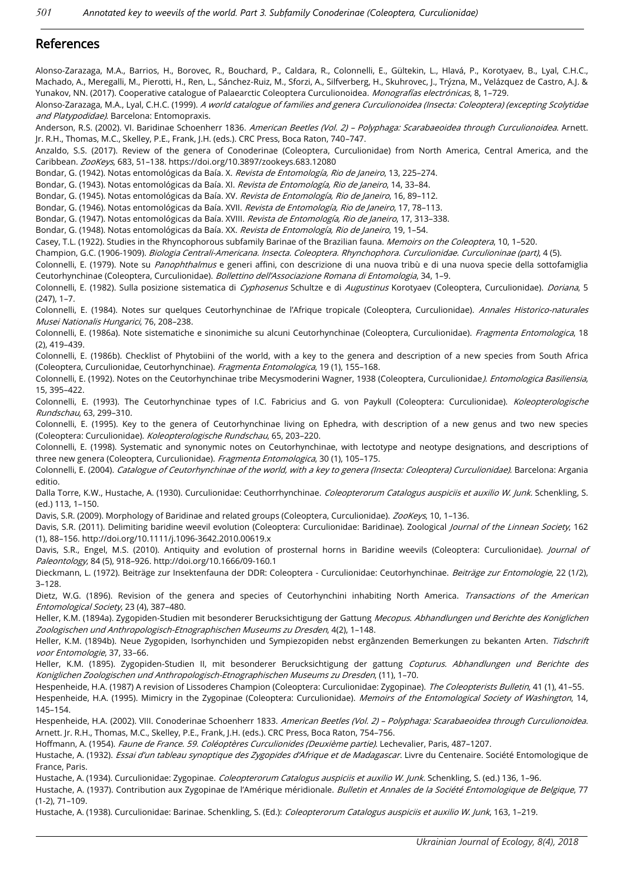# References

Alonso-Zarazaga, M.A., Barrios, H., Borovec, R., Bouchard, P., Caldara, R., Colonnelli, E., Gültekin, L., Hlavá, P., Korotyaev, B., Lyal, C.H.C., Machado, A., Meregalli, M., Pierotti, H., Ren, L., Sánchez-Ruiz, M., Sforzi, A., Silfverberg, H., Skuhrovec, J., Trýzna, M., Velázquez de Castro, A.J. & Yunakov, NN. (2017). Cooperative catalogue of Palaearctic Coleoptera Curculionoidea. Monografías electrónicas, 8, 1-729.

Alonso-Zarazaga, M.A., Lyal, C.H.C. (1999). A world catalogue of families and genera Curculionoidea (Insecta: Coleoptera) (excepting Scolytidae and Platypodidae). Barcelona: Entomopraxis.

Anderson, R.S. (2002). VI. Baridinae Schoenherr 1836. American Beetles (Vol. 2) - Polyphaga: Scarabaeoidea through Curculionoidea. Arnett. Jr. R.H., Thomas, M.C., Skelley, P.E., Frank, J.H. (eds.). CRC Press, Boca Raton, 740–747.

Anzaldo, S.S. (2017). Review of the genera of Conoderinae (Coleoptera, Curculionidae) from North America, Central America, and the Caribbean. ZooKeys, 683, 51–138. https://doi.org/10.3897/zookeys.683.12080

Bondar, G. (1942). Notas entomológicas da Baía. X. Revista de Entomología, Rio de Janeiro, 13, 225-274.

Bondar, G. (1943). Notas entomológicas da Baía. XI. Revista de Entomología, Rio de Janeiro, 14, 33-84.

Bondar, G. (1945). Notas entomológicas da Baía. XV. Revista de Entomología, Rio de Janeiro, 16, 89-112.

Bondar, G. (1946). Notas entomológicas da Baía. XVII. *Revista de Entomología, Rio de Janeiro*, 17, 78-113.

Bondar, G. (1947). Notas entomológicas da Baía. XVIII. Revista de Entomología, Rio de Janeiro, 17, 313-338.

Bondar, G. (1948). Notas entomológicas da Baía. XX. Revista de Entomología, Rio de Janeiro, 19, 1-54.

Casey, T.L. (1922). Studies in the Rhyncophorous subfamily Barinae of the Brazilian fauna. Memoirs on the Coleoptera, 10, 1-520.

Champion, G.C. (1906-1909). Biologia Centrali-Americana. Insecta. Coleoptera. Rhynchophora. Curculionidae. Curculioninae (part), 4 (5).

Colonnelli, E. (1979). Note su Panophthalmus e generi affini, con descrizione di una nuova tribù e di una nuova specie della sottofamiglia Ceutorhynchinae (Coleoptera, Curculionidae). Bollettino dell'Associazione Romana di Entomologia, 34, 1–9.

Colonnelli, E. (1982). Sulla posizione sistematica di Cyphosenus Schultze e di Augustinus Korotyaev (Coleoptera, Curculionidae). Doriana, 5 (247), 1–7.

Colonnelli, E. (1984). Notes sur quelques Ceutorhynchinae de l'Afrique tropicale (Coleoptera, Curculionidae). Annales Historico-naturales Musei Nationalis Hungarici, 76, 208–238.

Colonnelli, E. (1986a). Note sistematiche e sinonimiche su alcuni Ceutorhynchinae (Coleoptera, Curculionidae). Fragmenta Entomologica, 18 (2), 419–439.

Colonnelli, E. (1986b). Checklist of Phytobiini of the world, with a key to the genera and description of a new species from South Africa (Coleoptera, Curculionidae, Ceutorhynchinae). Fragmenta Entomologica, 19 (1), 155–168.

Colonnelli, E. (1992). Notes on the Ceutorhynchinae tribe Mecysmoderini Wagner, 1938 (Coleoptera, Curculionidae). Entomologica Basiliensia, 15, 395–422.

Colonnelli, E. (1993). The Ceutorhynchinae types of I.C. Fabricius and G. von Paykull (Coleoptera: Curculionidae). Koleopterologische Rundschau, 63, 299–310.

Colonnelli, E. (1995). Key to the genera of Ceutorhynchinae living on Ephedra, with description of a new genus and two new species (Coleoptera: Curculionidae). Koleopterologische Rundschau, 65, 203–220.

Colonnelli, E. (1998). Systematic and synonymic notes on Ceutorhynchinae, with lectotype and neotype designations, and descriptions of three new genera (Coleoptera, Curculionidae). Fragmenta Entomologica, 30 (1), 105–175.

Colonnelli, E. (2004). Catalogue of Ceutorhynchinae of the world, with a key to genera (Insecta: Coleoptera) Curculionidae). Barcelona: Argania editio.

Dalla Torre, K.W., Hustache, A. (1930). Curculionidae: Ceuthorrhynchinae. Coleopterorum Catalogus auspiciis et auxilio W. Junk. Schenkling, S. (ed.) 113, 1–150.

Davis, S.R. (2009). Morphology of Baridinae and related groups (Coleoptera, Curculionidae). ZooKeys, 10, 1-136.

Davis, S.R. (2011). Delimiting baridine weevil evolution (Coleoptera: Curculionidae: Baridinae). Zoological Journal of the Linnean Society, 162 (1), 88–156. http://doi.org/10.1111/j.1096-3642.2010.00619.x

Davis, S.R., Engel, M.S. (2010). Antiquity and evolution of prosternal horns in Baridine weevils (Coleoptera: Curculionidae). *Journal of* Paleontology, 84 (5), 918–926. http://doi.org/10.1666/09-160.1

Dieckmann, L. (1972). Beiträge zur Insektenfauna der DDR: Coleoptera - Curculionidae: Ceutorhynchinae. Beiträge zur Entomologie, 22 (1/2), 3–128.

Dietz, W.G. (1896). Revision of the genera and species of Ceutorhynchini inhabiting North America. Transactions of the American Entomological Society, 23 (4), 387–480.

Heller, K.M. (1894a). Zygopiden-Studien mit besonderer Berucksichtigung der Gattung Mecopus. Abhandlungen und Berichte des Koniglichen Zoologischen und Anthropologisch-Etnographischen Museums zu Dresden, 4(2), 1–148.

Heller, K.M. (1894b). Neue Zygopiden, Isorhynchiden und Sympiezopiden nebst ergânzenden Bemerkungen zu bekanten Arten. Tidschrift voor Entomologie, 37, 33–66.

Heller, K.M. (1895). Zygopiden-Studien II, mit besonderer Berucksichtigung der gattung Copturus. Abhandlungen und Berichte des Koniglichen Zoologischen und Anthropologisch-Etnographischen Museums zu Dresden, (11), 1–70.

Hespenheide, H.A. (1987) A revision of Lissoderes Champion (Coleoptera: Curculionidae: Zygopinae). The Coleopterists Bulletin, 41 (1), 41-55.

Hespenheide, H.A. (1995). Mimicry in the Zygopinae (Coleoptera: Curculionidae). Memoirs of the Entomological Society of Washington, 14, 145–154.

Hespenheide, H.A. (2002). VIII. Conoderinae Schoenherr 1833. American Beetles (Vol. 2) - Polyphaga: Scarabaeoidea through Curculionoidea. Arnett. Jr. R.H., Thomas, M.C., Skelley, P.E., Frank, J.H. (eds.). CRC Press, Boca Raton, 754–756.

Hoffmann, A. (1954). Faune de France. 59. Coléoptères Curculionides (Deuxième partie). Lechevalier, Paris, 487-1207.

Hustache, A. (1932). Essai d'un tableau synoptique des Zygopides d'Afrique et de Madagascar. Livre du Centenaire. Société Entomologique de France, Paris.

Hustache, A. (1934). Curculionidae: Zygopinae. Coleopterorum Catalogus auspiciis et auxilio W. Junk. Schenkling, S. (ed.) 136, 1-96.

Hustache, A. (1937). Contribution aux Zygopinae de l'Amérique méridionale. Bulletin et Annales de la Société Entomologique de Belgique, 77 (1-2), 71–109.

Hustache, A. (1938). Curculionidae: Barinae. Schenkling, S. (Ed.): Coleopterorum Catalogus auspiciis et auxilio W. Junk, 163, 1-219.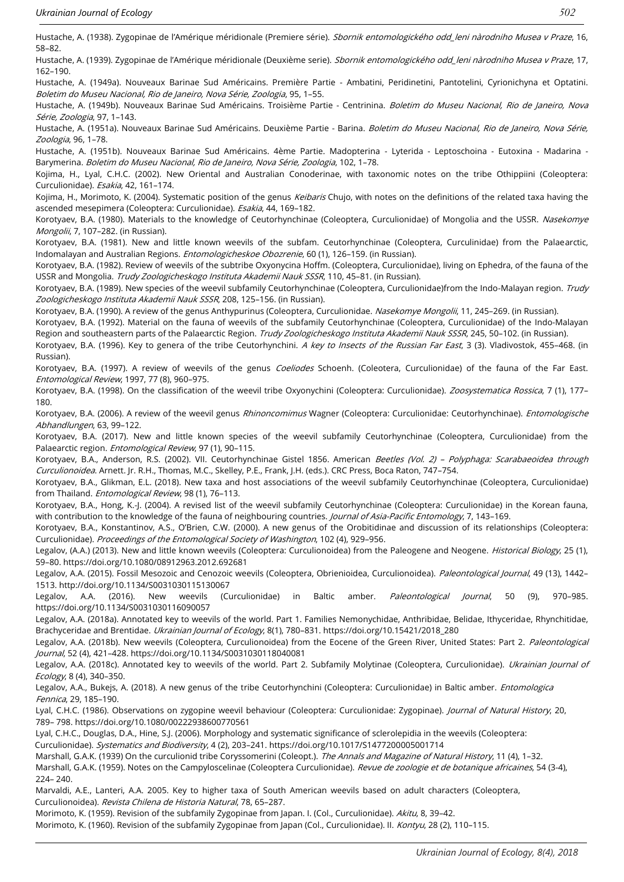Hustache, A. (1938). Zygopinae de l'Amérique méridionale (Premiere série). Sbornik entomologického odd\_leni nàrodniho Musea v Praze, 16, 58–82.

Hustache, A. (1939). Zygopinae de l'Amérique méridionale (Deuxième serie). Sbornik entomologického odd\_leni nàrodniho Musea v Praze, 17, 162–190.

Hustache, A. (1949a). Nouveaux Barinae Sud Américains. Première Partie - Ambatini, Peridinetini, Pantotelini, Cyrionichyna et Optatini. Boletim do Museu Nacional, Rio de Janeiro, Nova Série, Zoologia, 95, 1–55.

Hustache, A. (1949b). Nouveaux Barinae Sud Américains. Troisième Partie - Centrinina. Boletim do Museu Nacional, Rio de Janeiro, Nova Série, Zoologia, 97, 1–143.

Hustache, A. (1951a). Nouveaux Barinae Sud Américains. Deuxième Partie - Barina. Boletim do Museu Nacional, Rio de Janeiro, Nova Série, Zoologia, 96, 1–78.

Hustache, A. (1951b). Nouveaux Barinae Sud Américains. 4ème Partie. Madopterina - Lyterida - Leptoschoina - Eutoxina - Madarina - Barymerina. Boletim do Museu Nacional, Rio de Janeiro, Nova Série, Zoologia, 102, 1–78.

Kojima, H., Lyal, C.H.C. (2002). New Oriental and Australian Conoderinae, with taxonomic notes on the tribe Othippiini (Coleoptera: Curculionidae). Esakia, 42, 161–174.

Kojima, H., Morimoto, K. (2004). Systematic position of the genus Keibaris Chujo, with notes on the definitions of the related taxa having the ascended mesepimera (Coleoptera: Curculionidae). Esakia, 44, 169-182.

Korotyaev, B.A. (1980). Materials to the knowledge of Ceutorhynchinae (Coleoptera, Curculionidae) of Mongolia and the USSR. Nasekomye Mongolii, 7, 107–282. (in Russian).

Korotyaev, B.A. (1981). New and little known weevils of the subfam. Ceutorhynchinae (Coleoptera, Curculinidae) from the Palaearctic, Indomalayan and Australian Regions. Entomologicheskoe Obozrenie, 60 (1), 126–159. (in Russian).

Korotyaev, B.A. (1982). Review of weevils of the subtribe Oxyonycina Hoffm. (Coleoptera, Curculionidae), living on Ephedra, of the fauna of the USSR and Mongolia. Trudy Zoologicheskogo Instituta Akademii Nauk SSSR, 110, 45-81. (in Russian).

Korotyaev, B.A. (1989). New species of the weevil subfamily Ceutorhynchinae (Coleoptera, Curculionidae)from the Indo-Malayan region. Trudy Zoologicheskogo Instituta Akademii Nauk SSSR, 208, 125–156. (in Russian).

Korotyaev, B.A. (1990). A review of the genus Anthypurinus (Coleoptera, Curculionidae. Nasekomye Mongolii, 11, 245-269. (in Russian).

Korotyaev, B.A. (1992). Material on the fauna of weevils of the subfamily Ceutorhynchinae (Coleoptera, Curculionidae) of the Indo-Malayan Region and southeastern parts of the Palaearctic Region. Trudy Zoologicheskogo Instituta Akademii Nauk SSSR, 245, 50-102. (in Russian).

Korotyaev, B.A. (1996). Key to genera of the tribe Ceutorhynchini. A key to Insects of the Russian Far East, 3 (3). Vladivostok, 455-468. (in Russian).

Korotyaev, B.A. (1997). A review of weevils of the genus Coeliodes Schoenh. (Coleotera, Curculionidae) of the fauna of the Far East. Entomological Review, 1997, 77 (8), 960–975.

Korotyaev, B.A. (1998). On the classification of the weevil tribe Oxyonychini (Coleoptera: Curculionidae). Zoosystematica Rossica, 7 (1), 177-180.

Korotyaev, B.A. (2006). A review of the weevil genus Rhinoncomimus Wagner (Coleoptera: Curculionidae: Ceutorhynchinae). Entomologische Abhandlungen, 63, 99–122.

Korotyaev, B.A. (2017). New and little known species of the weevil subfamily Ceutorhynchinae (Coleoptera, Curculionidae) from the Palaearctic region. Entomological Review, 97 (1), 90-115.

Korotyaev, B.A., Anderson, R.S. (2002). VII. Ceutorhynchinae Gistel 1856. American Beetles (Vol. 2) - Polyphaga: Scarabaeoidea through Curculionoidea. Arnett. Jr. R.H., Thomas, M.C., Skelley, P.E., Frank, J.H. (eds.). CRC Press, Boca Raton, 747–754.

Korotyaev, B.A., Glikman, E.L. (2018). New taxa and host associations of the weevil subfamily Ceutorhynchinae (Coleoptera, Curculionidae) from Thailand. Entomological Review, 98 (1), 76-113.

Korotyaev, B.A., Hong, K.-J. (2004). A revised list of the weevil subfamily Ceutorhynchinae (Coleoptera: Curculionidae) in the Korean fauna, with contribution to the knowledge of the fauna of neighbouring countries. Journal of Asia-Pacific Entomology, 7, 143-169.

Korotyaev, B.A., Konstantinov, A.S., O'Brien, C.W. (2000). A new genus of the Orobitidinae and discussion of its relationships (Coleoptera: Curculionidae). Proceedings of the Entomological Society of Washington, 102 (4), 929–956.

Legalov, (A.A.) (2013). New and little known weevils (Coleoptera: Curculionoidea) from the Paleogene and Neogene. Historical Biology, 25 (1), 59–80. https://doi.org/10.1080/08912963.2012.692681

Legalov, A.A. (2015). Fossil Mesozoic and Cenozoic weevils (Coleoptera, Obrienioidea, Curculionoidea). Paleontological Journal, 49 (13), 1442-1513. http://doi.org/10.1134/S0031030115130067

Legalov, A.A. (2016). New weevils (Curculionidae) in Baltic amber. Paleontological Journal, 50 (9), 970-985. https://doi.org/10.1134/S0031030116090057

Legalov, A.A. (2018a). Annotated key to weevils of the world. Part 1. Families Nemonychidae, Anthribidae, Belidae, Ithyceridae, Rhynchitidae, Brachyceridae and Brentidae. Ukrainian Journal of Ecology, 8(1), 780-831. https://doi.org/10.15421/2018\_280

Legalov, A.A. (2018b). New weevils (Coleoptera, Curculionoidea) from the Eocene of the Green River, United States: Part 2. Paleontological Journal, 52 (4), 421–428. https://doi.org/10.1134/S0031030118040081

Legalov, A.A. (2018c). Annotated key to weevils of the world. Part 2. Subfamily Molytinae (Coleoptera, Curculionidae). *Ukrainian Journal of* Ecology, 8 (4), 340–350.

Legalov, A.A., Bukejs, A. (2018). A new genus of the tribe Ceutorhynchini (Coleoptera: Curculionidae) in Baltic amber. *Entomologica* Fennica, 29, 185–190.

Lyal, C.H.C. (1986). Observations on zygopine weevil behaviour (Coleoptera: Curculionidae: Zygopinae). Journal of Natural History, 20, 789– 798. https://doi.org/10.1080/00222938600770561

Lyal, C.H.C., Douglas, D.A., Hine, S.J. (2006). Morphology and systematic significance of sclerolepidia in the weevils (Coleoptera: Curculionidae). Systematics and Biodiversity, 4 (2), 203–241. https://doi.org/10.1017/S1477200005001714

Marshall, G.A.K. (1939) On the curculionid tribe Coryssomerini (Coleopt.). The Annals and Magazine of Natural History, 11 (4), 1-32.

Marshall, G.A.K. (1959). Notes on the Campyloscelinae (Coleoptera Curculionidae). Revue de zoologie et de botanique africaines, 54 (3-4). 224– 240.

Marvaldi, A.E., Lanteri, A.A. 2005. Key to higher taxa of South American weevils based on adult characters (Coleoptera, Curculionoidea). Revista Chilena de Historia Natural, 78, 65–287.

Morimoto, K. (1959). Revision of the subfamily Zygopinae from Japan. I. (Col., Curculionidae). Akitu, 8, 39–42.

Morimoto, K. (1960). Revision of the subfamily Zygopinae from Japan (Col., Curculionidae). II. Kontyu, 28 (2), 110-115.